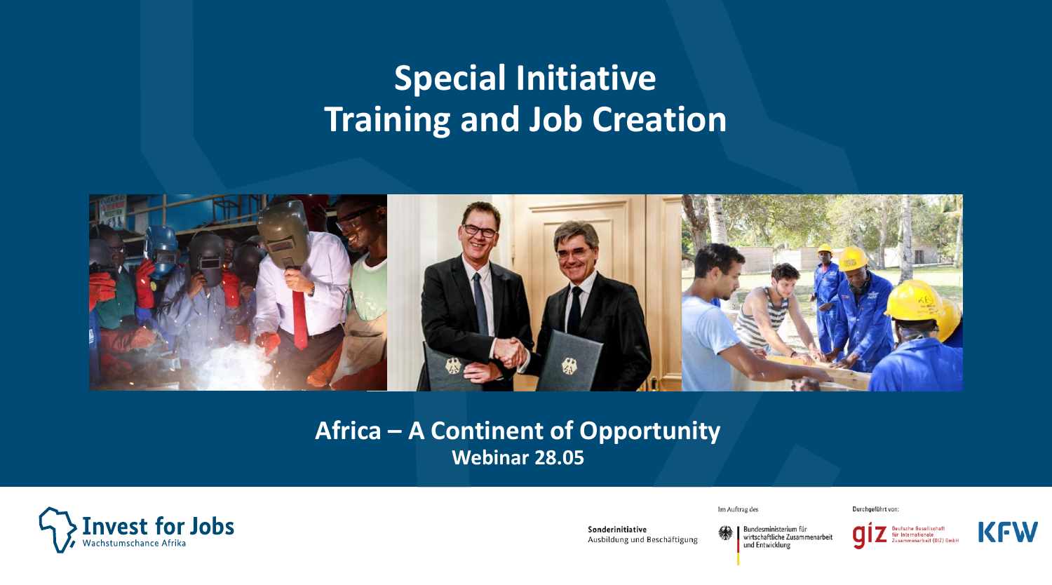## **Special Initiative Training and Job Creation**



#### **Africa – A Continent of Opportunity Webinar 28.05**

Sonderinitiative

Ausbildung und Beschäftigung



Im Auftrag des

Bundesministerium für wirtschaftliche Zusammenarbeit und Entwicklung



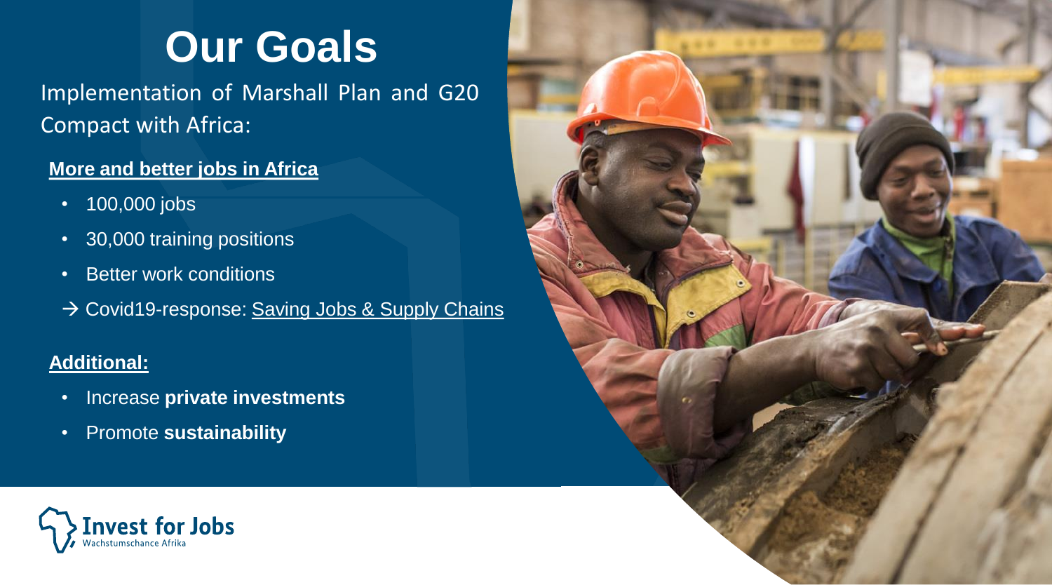# **Our Goals**

Implementation of Marshall Plan and G20 Compact with Africa:

#### **More and better jobs in Africa**

- 100,000 jobs
- 30,000 training positions
- Better work conditions
- → Covid19-response: Saving Jobs & Supply Chains

#### **Additional:**

- Increase **private investments**
- Promote **sustainability**



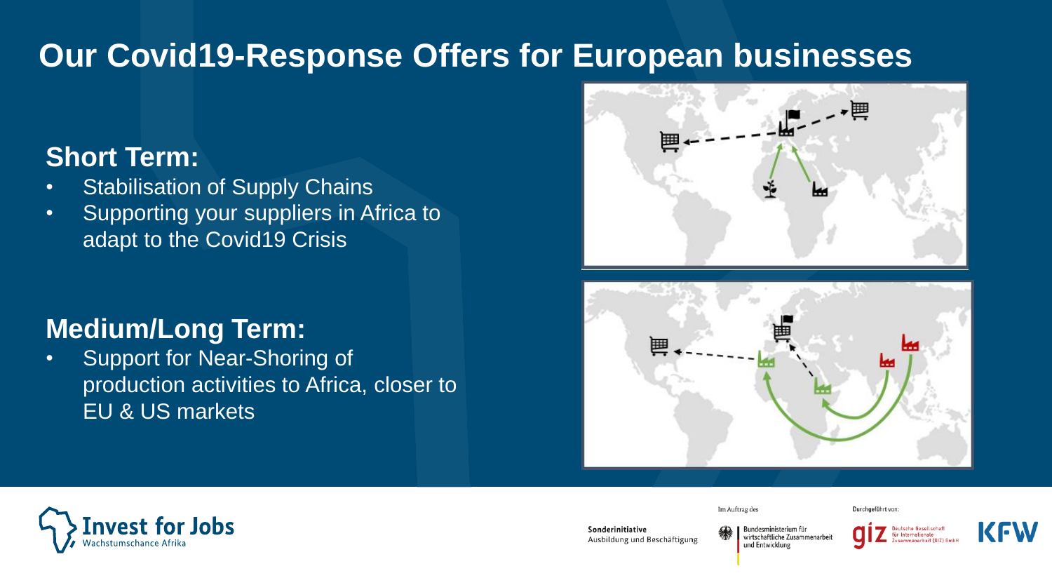## **Our Covid19-Response Offers for European businesses**

### **Short Term:**

- Stabilisation of Supply Chains
- Supporting your suppliers in Africa to adapt to the Covid19 Crisis

## **Medium/Long Term:**

• Support for Near-Shoring of production activities to Africa, closer to EU & US markets







Sonderinitiative

Ausbildung und Beschäftigung

Bundesministerium für wirtschaftliche Zusammenarbeit



Durchgeführt von



und Entwicklung

Im Auftrag des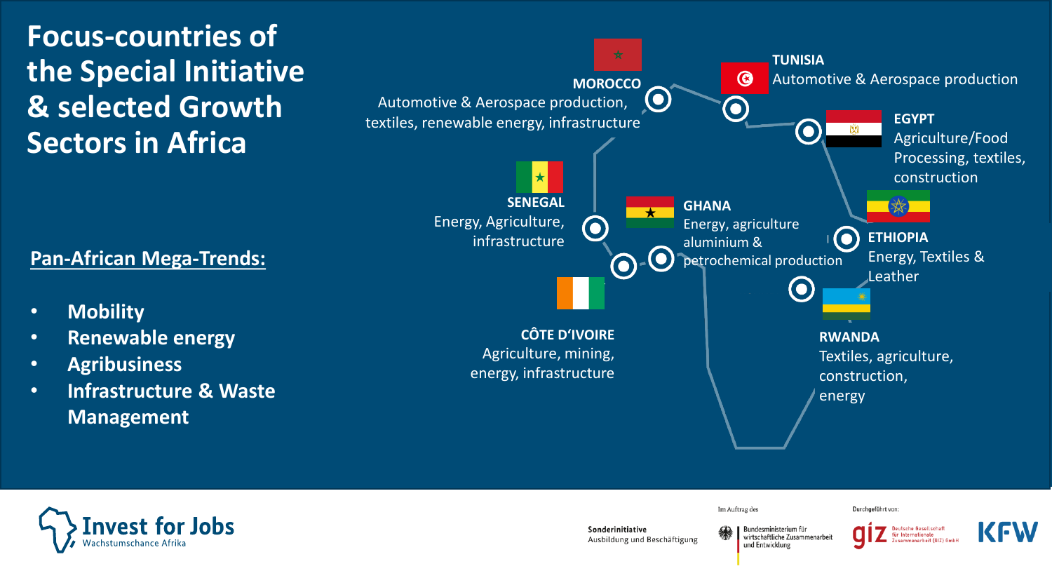## **Focus-countries of the Special Initiative & selected Growth Sectors in Africa**

#### **Pan-African Mega-Trends:**

- **Mobility**
- **Renewable energy**
- **Agribusiness**
- **Infrastructure & Waste Management**





Sonderinitiative Ausbildung und Beschäftigung

Im Auftrag des

**Rundesministerium für** wirtschaftliche Zusammenarbeit und Entwicklung



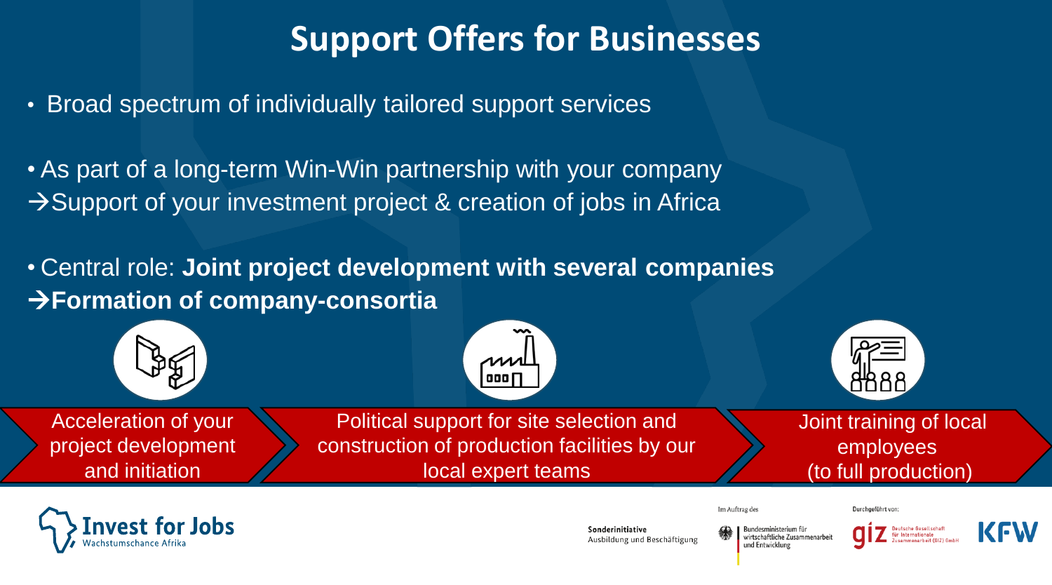## **Support Offers for Businesses**

- Broad spectrum of individually tailored support services
- As part of a long-term Win-Win partnership with your company →Support of your investment project & creation of jobs in Africa
- Central role: **Joint project development with several companies**  →**Formation of company-consortia**





Sonderinitiative Ausbildung und Beschäftigung Bundesministerium für wirtschaftliche Zusammenarbeit und Entwicklung

Im Auftrag des



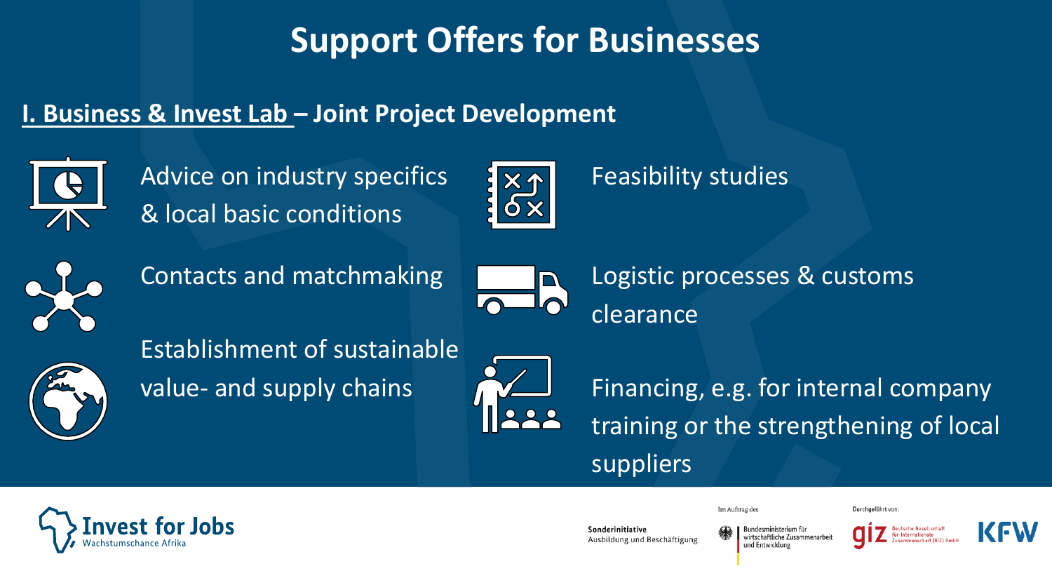## **Support Offers for Businesses**

### **I. Business & Invest Lab – Joint Project Development**



Advice on industry specifics & local basic conditions



### • Feasibility studies





• Contacts and matchmaking • Logistic processes & customs clearance



• Establishment of sustainable



value- and supply chains **Financing**, e.g. for internal company training or the strengthening of local suppliers



Sonderinitiative Ausbildung und Beschäftigung

Im Auftrag des

Rundesministerium für wirtschaftliche Zusammenarbei und Entwicklung



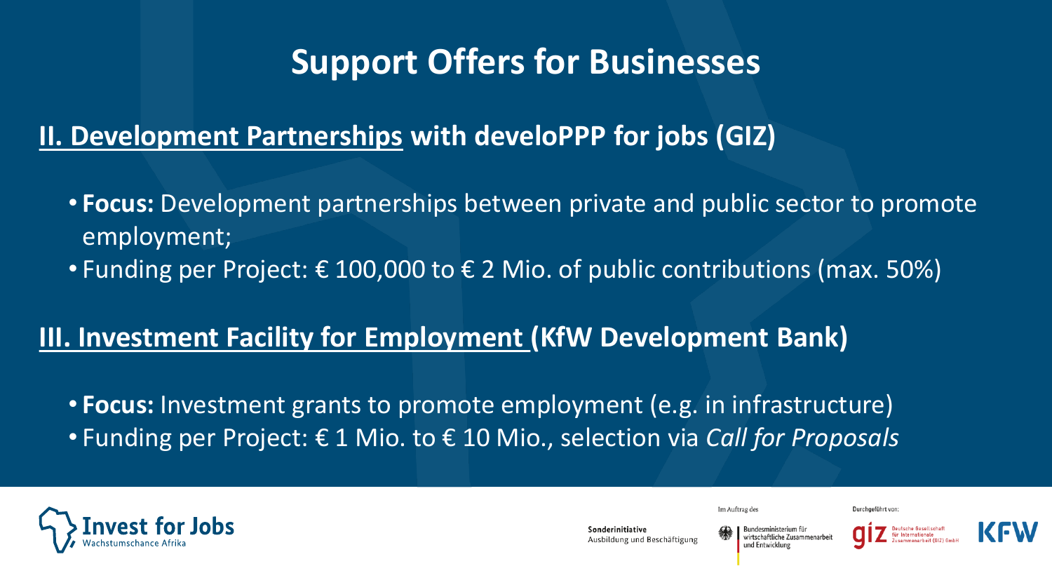## **Support Offers for Businesses**

### **II. Development Partnerships with develoPPP for jobs (GIZ)**

- **Focus:** Development partnerships between private and public sector to promote employment;
- Funding per Project: € 100,000 to € 2 Mio. of public contributions (max. 50%)

### **III. Investment Facility for Employment (KfW Development Bank)**

• **Focus:** Investment grants to promote employment (e.g. in infrastructure) • Funding per Project: € 1 Mio. to € 10 Mio., selection via *Call for Proposals*



Im Auftrag des

Ausbildung und Beschäftigung

ındesministerium für wirtschaftliche Zusammenarbeit und Entwicklung



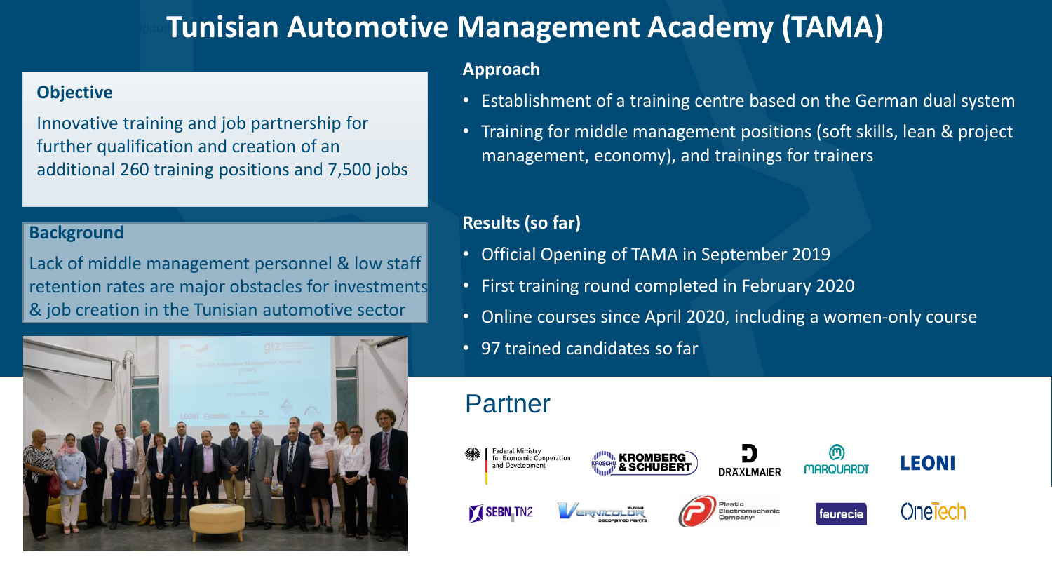## **Tunisian Automotive Management Academy (TAMA)**

#### **Objective**

Innovative training and job partnership for further qualification and creation of an additional 260 training positions and 7,500 jobs

#### **Background**

Lack of middle management personnel & low staff retention rates are major obstacles for investments & job creation in the Tunisian automotive sector



#### **Approach**

- Establishment of a training centre based on the German dual system
- Training for middle management positions (soft skills, lean & project management, economy), and trainings for trainers

#### **Results (so far)**

- Official Opening of TAMA in September 2019
- First training round completed in February 2020
- Online courses since April 2020, including a women-only course
- 97 trained candidates so far

### Partner

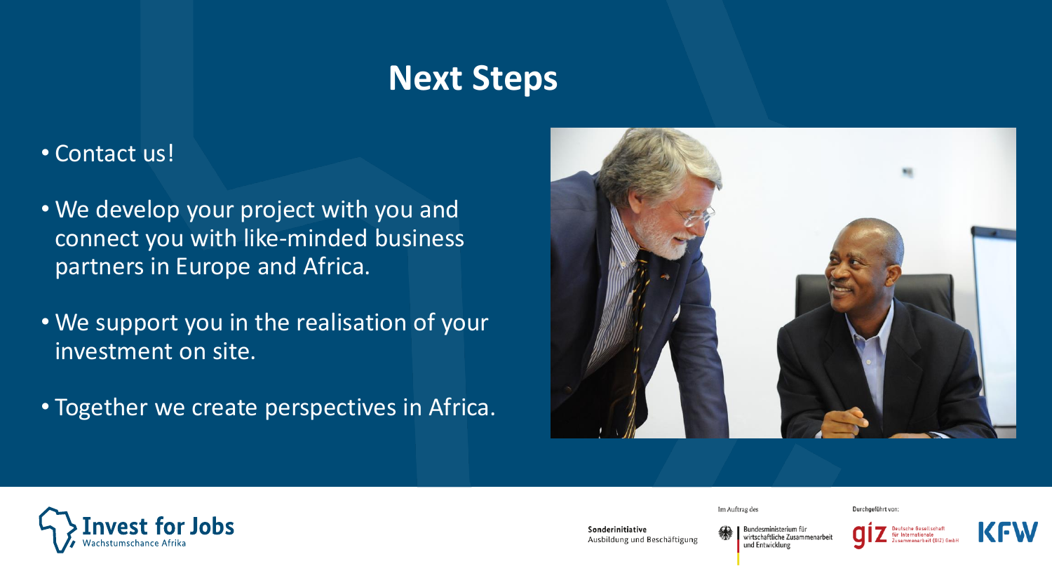## **Next Steps**

#### • Contact us!

- We develop your project with you and connect you with like-minded business partners in Europe and Africa.
- We support you in the realisation of your investment on site.
- Together we create perspectives in Africa.

or Jobs



Im Auftrag des

Durchgeführt von:





Sonderinitiative Ausbildung und Beschäftigung Bundesministerium für wirtschaftliche Zusammenarbeit und Entwicklung